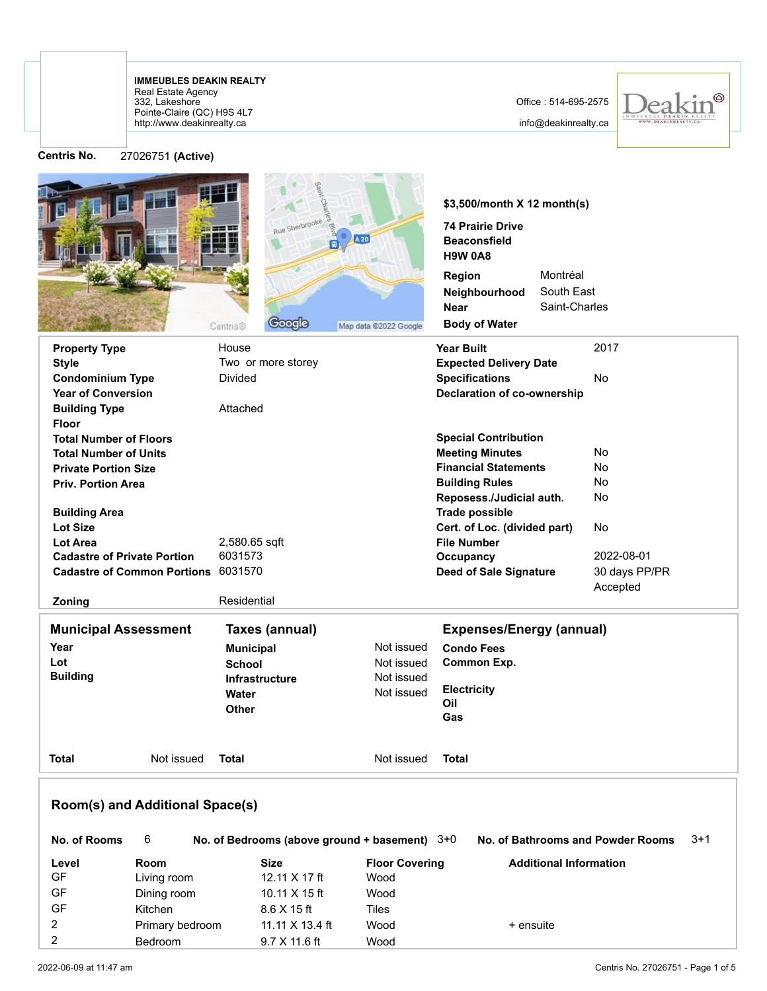## http://www.deakinrealty.ca Pointe-Claire (QC) H9S 4L7 332, Lakeshore Real Estate Agency **IMMEUBLES DEAKIN REALTY**

## Office : 514-695-2575

info@deakinrealty.ca



**Centris No.** 27026751 **(Active)**

|                                     |                 | Rue Sherbrooke<br><b>Google</b><br>Centris®     | Map data @2022 Google | \$3,500/month X 12 month(s)<br><b>74 Prairie Drive</b><br><b>Beaconsfield</b><br><b>H9W 0A8</b><br>Montréal<br>Region<br>South East<br>Neighbourhood<br>Saint-Charles<br>Near<br><b>Body of Water</b> |               |  |  |  |  |
|-------------------------------------|-----------------|-------------------------------------------------|-----------------------|-------------------------------------------------------------------------------------------------------------------------------------------------------------------------------------------------------|---------------|--|--|--|--|
| <b>Property Type</b>                |                 | House                                           |                       | <b>Year Built</b>                                                                                                                                                                                     | 2017          |  |  |  |  |
| <b>Style</b>                        |                 | Two or more storey                              |                       | <b>Expected Delivery Date</b>                                                                                                                                                                         |               |  |  |  |  |
| <b>Condominium Type</b>             |                 | <b>Divided</b>                                  |                       | <b>Specifications</b>                                                                                                                                                                                 | <b>No</b>     |  |  |  |  |
| <b>Year of Conversion</b>           |                 |                                                 |                       | <b>Declaration of co-ownership</b>                                                                                                                                                                    |               |  |  |  |  |
| <b>Building Type</b>                |                 | Attached                                        |                       |                                                                                                                                                                                                       |               |  |  |  |  |
| <b>Floor</b>                        |                 |                                                 |                       |                                                                                                                                                                                                       |               |  |  |  |  |
| <b>Total Number of Floors</b>       |                 |                                                 |                       | <b>Special Contribution</b>                                                                                                                                                                           |               |  |  |  |  |
| <b>Total Number of Units</b>        |                 |                                                 |                       | <b>Meeting Minutes</b>                                                                                                                                                                                | <b>No</b>     |  |  |  |  |
| <b>Private Portion Size</b>         |                 |                                                 |                       | <b>Financial Statements</b>                                                                                                                                                                           | No<br>No      |  |  |  |  |
| <b>Priv. Portion Area</b>           |                 |                                                 |                       | <b>Building Rules</b><br>Reposess./Judicial auth.                                                                                                                                                     | No            |  |  |  |  |
| <b>Building Area</b>                |                 |                                                 |                       | <b>Trade possible</b>                                                                                                                                                                                 |               |  |  |  |  |
| <b>Lot Size</b>                     |                 |                                                 |                       | Cert. of Loc. (divided part)                                                                                                                                                                          | No            |  |  |  |  |
| Lot Area                            |                 | 2,580.65 sqft                                   |                       | <b>File Number</b>                                                                                                                                                                                    |               |  |  |  |  |
| <b>Cadastre of Private Portion</b>  |                 | 6031573                                         |                       | 2022-08-01<br>Occupancy                                                                                                                                                                               |               |  |  |  |  |
| Cadastre of Common Portions 6031570 |                 |                                                 |                       | <b>Deed of Sale Signature</b>                                                                                                                                                                         | 30 days PP/PR |  |  |  |  |
|                                     |                 |                                                 |                       |                                                                                                                                                                                                       | Accepted      |  |  |  |  |
| Zoning                              |                 | Residential                                     |                       |                                                                                                                                                                                                       |               |  |  |  |  |
| <b>Municipal Assessment</b>         |                 | Taxes (annual)                                  |                       | <b>Expenses/Energy (annual)</b>                                                                                                                                                                       |               |  |  |  |  |
| Year                                |                 | <b>Municipal</b>                                | Not issued            | <b>Condo Fees</b>                                                                                                                                                                                     |               |  |  |  |  |
| Lot                                 |                 | <b>School</b>                                   | Not issued            | <b>Common Exp.</b>                                                                                                                                                                                    |               |  |  |  |  |
| <b>Building</b>                     |                 | <b>Infrastructure</b>                           | Not issued            |                                                                                                                                                                                                       |               |  |  |  |  |
|                                     |                 | Water                                           | Not issued            | <b>Electricity</b>                                                                                                                                                                                    |               |  |  |  |  |
|                                     |                 | Other                                           |                       | Oil                                                                                                                                                                                                   |               |  |  |  |  |
|                                     |                 |                                                 |                       | Gas                                                                                                                                                                                                   |               |  |  |  |  |
| <b>Total</b>                        | Not issued      | <b>Total</b>                                    | Not issued            | <b>Total</b>                                                                                                                                                                                          |               |  |  |  |  |
| Room(s) and Additional Space(s)     |                 |                                                 |                       |                                                                                                                                                                                                       |               |  |  |  |  |
| No. of Rooms                        | 6               | No. of Bedrooms (above ground + basement) $3+0$ |                       | No. of Bathrooms and Powder Rooms                                                                                                                                                                     | $3+1$         |  |  |  |  |
| Level                               | <b>Room</b>     | Size                                            | <b>Floor Covering</b> | <b>Additional Information</b>                                                                                                                                                                         |               |  |  |  |  |
| <b>GF</b>                           | Living room     | 12.11 X 17 ft                                   | Wood                  |                                                                                                                                                                                                       |               |  |  |  |  |
| GF                                  | Dining room     | 10.11 X 15 ft                                   | Wood                  |                                                                                                                                                                                                       |               |  |  |  |  |
| GF                                  | Kitchen         | 8.6 X 15 ft                                     | <b>Tiles</b>          |                                                                                                                                                                                                       |               |  |  |  |  |
| $\overline{2}$                      | Primary bedroom | 11.11 X 13.4 ft                                 | Wood                  | + ensuite                                                                                                                                                                                             |               |  |  |  |  |

2 Bedroom 9.7 X 11.6 ft Wood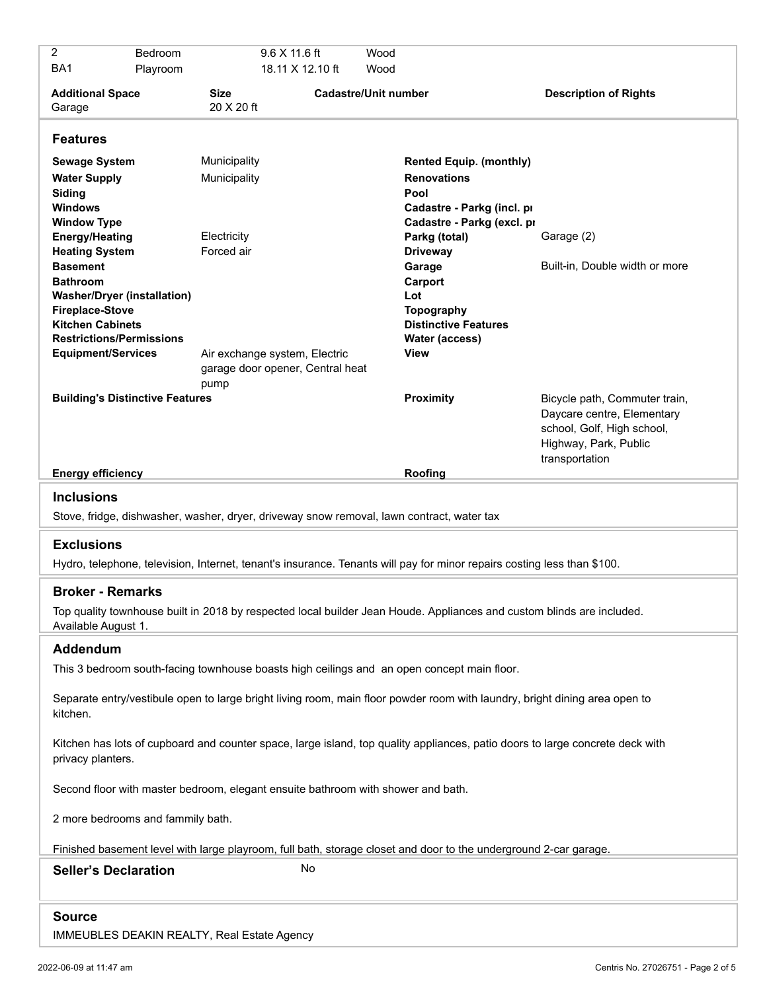| 2                                                                                                                                                                          | Bedroom  |                              | $9.6$ X 11.6 ft                                                   | Wood |                                                                                                                 |                                                                                                                                      |  |  |  |  |
|----------------------------------------------------------------------------------------------------------------------------------------------------------------------------|----------|------------------------------|-------------------------------------------------------------------|------|-----------------------------------------------------------------------------------------------------------------|--------------------------------------------------------------------------------------------------------------------------------------|--|--|--|--|
| BA1                                                                                                                                                                        | Playroom |                              | 18.11 X 12.10 ft                                                  | Wood |                                                                                                                 |                                                                                                                                      |  |  |  |  |
| <b>Additional Space</b><br>Garage                                                                                                                                          |          | <b>Size</b><br>20 X 20 ft    | <b>Cadastre/Unit number</b>                                       |      |                                                                                                                 | <b>Description of Rights</b>                                                                                                         |  |  |  |  |
| <b>Features</b>                                                                                                                                                            |          |                              |                                                                   |      |                                                                                                                 |                                                                                                                                      |  |  |  |  |
| <b>Sewage System</b><br><b>Water Supply</b><br>Siding<br><b>Windows</b>                                                                                                    |          | Municipality<br>Municipality |                                                                   |      | <b>Rented Equip. (monthly)</b><br><b>Renovations</b><br>Pool<br>Cadastre - Parkg (incl. pr                      |                                                                                                                                      |  |  |  |  |
| <b>Window Type</b><br><b>Energy/Heating</b><br><b>Heating System</b><br><b>Basement</b><br><b>Bathroom</b><br><b>Washer/Dryer (installation)</b><br><b>Fireplace-Stove</b> |          | Electricity<br>Forced air    |                                                                   |      | Cadastre - Parkg (excl. pr<br>Parkg (total)<br><b>Driveway</b><br>Garage<br>Carport<br>Lot<br><b>Topography</b> | Garage (2)<br>Built-in, Double width or more                                                                                         |  |  |  |  |
| <b>Kitchen Cabinets</b><br><b>Restrictions/Permissions</b><br><b>Equipment/Services</b>                                                                                    |          | pump                         | Air exchange system, Electric<br>garage door opener, Central heat |      | <b>Distinctive Features</b><br>Water (access)<br>View                                                           |                                                                                                                                      |  |  |  |  |
| <b>Building's Distinctive Features</b>                                                                                                                                     |          |                              |                                                                   |      | Proximity                                                                                                       | Bicycle path, Commuter train,<br>Daycare centre, Elementary<br>school, Golf, High school,<br>Highway, Park, Public<br>transportation |  |  |  |  |
| <b>Energy efficiency</b>                                                                                                                                                   |          |                              |                                                                   |      | Roofing                                                                                                         |                                                                                                                                      |  |  |  |  |
| <b>Inclusions</b><br>Stove, fridge, dishwasher, washer, dryer, driveway snow removal, lawn contract, water tax                                                             |          |                              |                                                                   |      |                                                                                                                 |                                                                                                                                      |  |  |  |  |
| <b>Exclusions</b>                                                                                                                                                          |          |                              |                                                                   |      |                                                                                                                 |                                                                                                                                      |  |  |  |  |
| Hydro, telephone, television, Internet, tenant's insurance. Tenants will pay for minor repairs costing less than \$100.                                                    |          |                              |                                                                   |      |                                                                                                                 |                                                                                                                                      |  |  |  |  |
| <b>Broker - Remarks</b>                                                                                                                                                    |          |                              |                                                                   |      |                                                                                                                 |                                                                                                                                      |  |  |  |  |
| Top quality townhouse built in 2018 by respected local builder Jean Houde. Appliances and custom blinds are included.<br>Available August 1.                               |          |                              |                                                                   |      |                                                                                                                 |                                                                                                                                      |  |  |  |  |
| <b>Addendum</b>                                                                                                                                                            |          |                              |                                                                   |      |                                                                                                                 |                                                                                                                                      |  |  |  |  |
| This 3 bedroom south-facing townhouse boasts high ceilings and an open concept main floor.                                                                                 |          |                              |                                                                   |      |                                                                                                                 |                                                                                                                                      |  |  |  |  |
| Separate entry/vestibule open to large bright living room, main floor powder room with laundry, bright dining area open to<br>kitchen.                                     |          |                              |                                                                   |      |                                                                                                                 |                                                                                                                                      |  |  |  |  |
| Kitchen has lots of cupboard and counter space, large island, top quality appliances, patio doors to large concrete deck with<br>privacy planters.                         |          |                              |                                                                   |      |                                                                                                                 |                                                                                                                                      |  |  |  |  |
| Second floor with master bedroom, elegant ensuite bathroom with shower and bath.                                                                                           |          |                              |                                                                   |      |                                                                                                                 |                                                                                                                                      |  |  |  |  |
| 2 more bedrooms and fammily bath.                                                                                                                                          |          |                              |                                                                   |      |                                                                                                                 |                                                                                                                                      |  |  |  |  |
| Finished basement level with large playroom, full bath, storage closet and door to the underground 2-car garage.                                                           |          |                              |                                                                   |      |                                                                                                                 |                                                                                                                                      |  |  |  |  |
| No<br><b>Seller's Declaration</b>                                                                                                                                          |          |                              |                                                                   |      |                                                                                                                 |                                                                                                                                      |  |  |  |  |
| <b>Source</b>                                                                                                                                                              |          |                              |                                                                   |      |                                                                                                                 |                                                                                                                                      |  |  |  |  |

IMMEUBLES DEAKIN REALTY, Real Estate Agency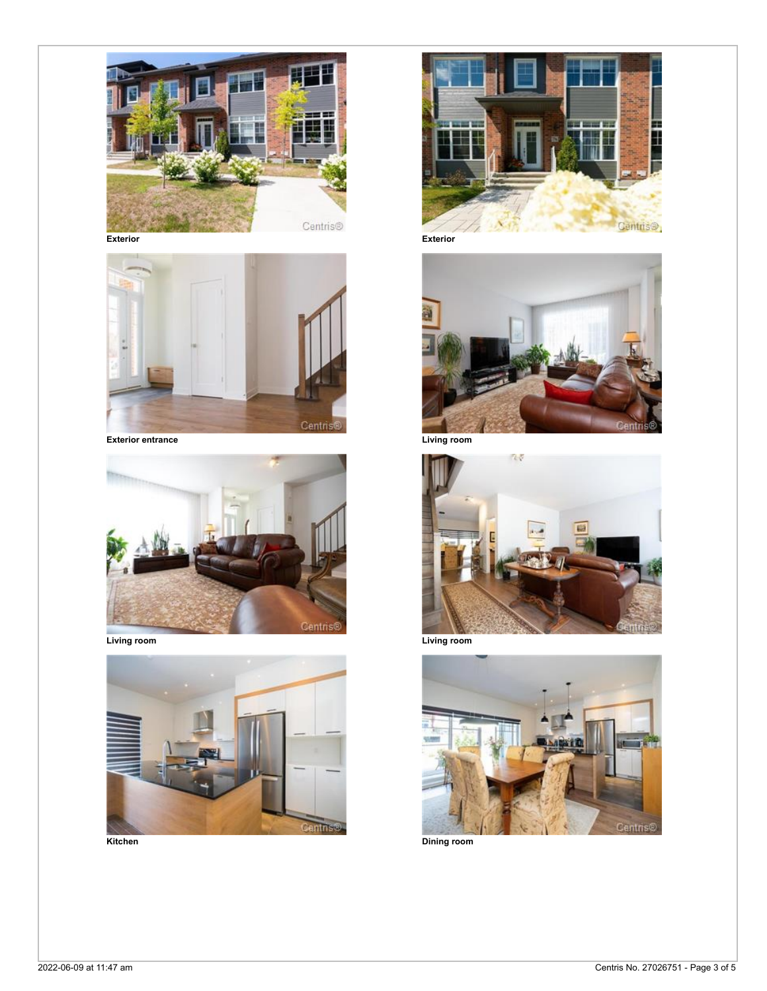

**Exterior Exterior**













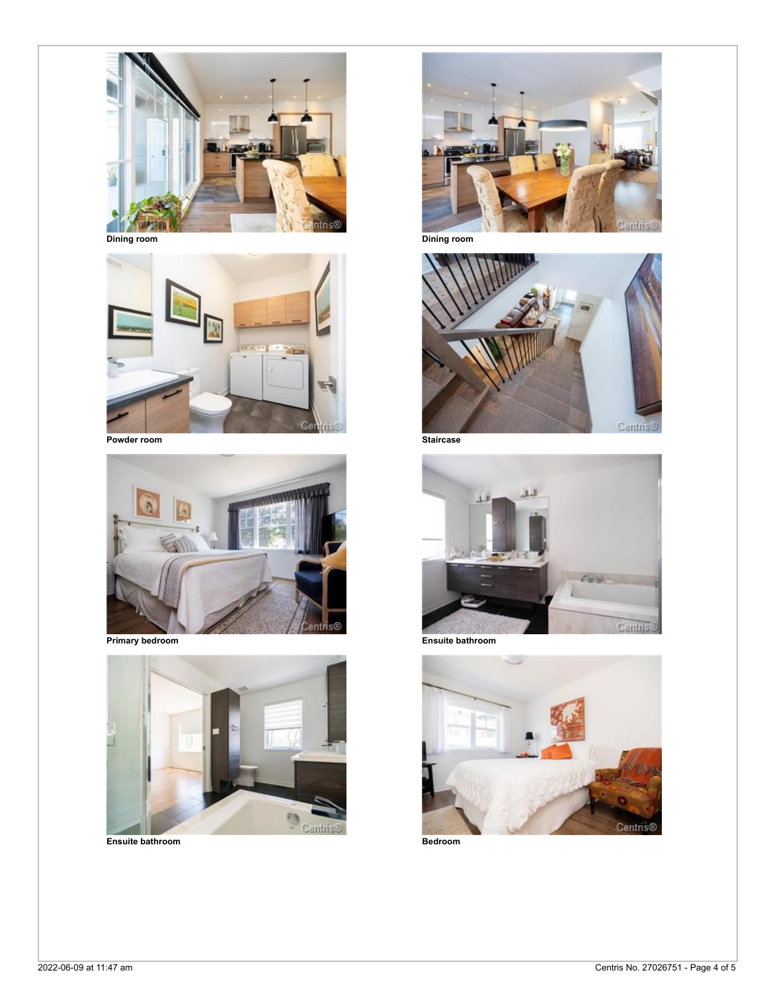